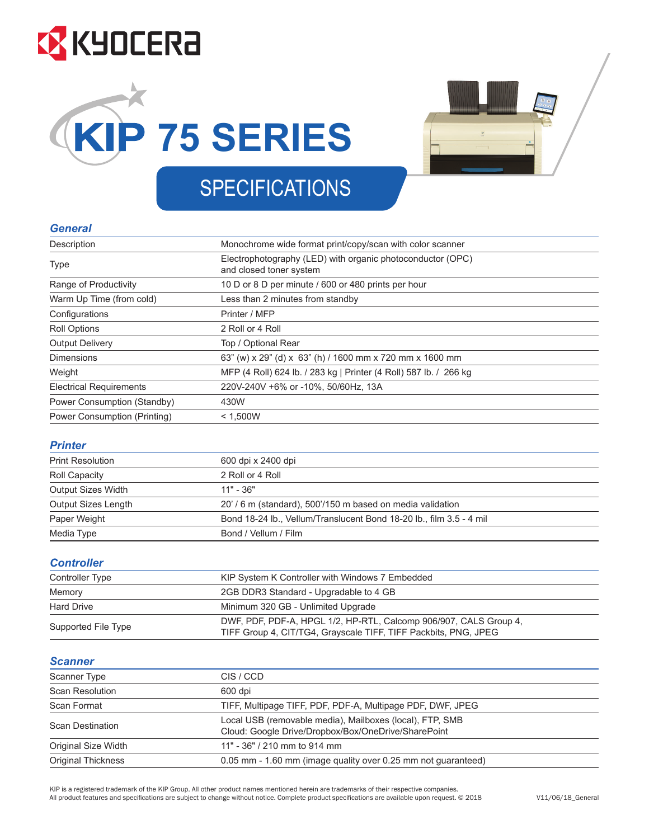# **EX** KYOCERA





### **SPECIFICATIONS**

#### *General*  $\mathcal{L}$  description Monochrome wide format print/copy/scanners components for scanners contained by  $\mathcal{L}$

| Description                    | Monochrome wide format print/copy/scan with color scanner                             |  |
|--------------------------------|---------------------------------------------------------------------------------------|--|
| <b>Type</b>                    | Electrophotography (LED) with organic photoconductor (OPC)<br>and closed toner system |  |
| Range of Productivity          | 10 D or 8 D per minute / 600 or 480 prints per hour                                   |  |
| Warm Up Time (from cold)       | Less than 2 minutes from standby                                                      |  |
| Configurations                 | Printer / MFP                                                                         |  |
| <b>Roll Options</b>            | 2 Roll or 4 Roll                                                                      |  |
| <b>Output Delivery</b>         | Top / Optional Rear                                                                   |  |
| <b>Dimensions</b>              | 63" (w) x 29" (d) x 63" (h) / 1600 mm x 720 mm x 1600 mm                              |  |
| Weight                         | MFP (4 Roll) 624 lb. / 283 kg   Printer (4 Roll) 587 lb. / 266 kg                     |  |
| <b>Electrical Requirements</b> | 220V-240V +6% or -10%, 50/60Hz, 13A                                                   |  |
| Power Consumption (Standby)    | 430W                                                                                  |  |
| Power Consumption (Printing)   | < 1,500W                                                                              |  |
|                                |                                                                                       |  |

### *Printer*

| , , , , , , , , ,       |                                                                     |  |
|-------------------------|---------------------------------------------------------------------|--|
| <b>Print Resolution</b> | 600 dpi x 2400 dpi                                                  |  |
| Roll Capacity           | 2 Roll or 4 Roll                                                    |  |
| Output Sizes Width      | $11" - 36"$                                                         |  |
| Output Sizes Length     | 20' / 6 m (standard), 500'/150 m based on media validation          |  |
| Paper Weight            | Bond 18-24 lb., Vellum/Translucent Bond 18-20 lb., film 3.5 - 4 mil |  |
| Media Type              | Bond / Vellum / Film                                                |  |
|                         |                                                                     |  |

#### *Controller* Controller Type KIP System K Controller with Windows 7 Embedded

| <b>UUIILI UIILI</b> |                                                                                                                                      |  |
|---------------------|--------------------------------------------------------------------------------------------------------------------------------------|--|
| Controller Type     | KIP System K Controller with Windows 7 Embedded                                                                                      |  |
| Memory              | 2GB DDR3 Standard - Upgradable to 4 GB                                                                                               |  |
| <b>Hard Drive</b>   | Minimum 320 GB - Unlimited Upgrade                                                                                                   |  |
| Supported File Type | DWF, PDF, PDF-A, HPGL 1/2, HP-RTL, Calcomp 906/907, CALS Group 4,<br>TIFF Group 4, CIT/TG4, Grayscale TIFF, TIFF Packbits, PNG, JPEG |  |
|                     |                                                                                                                                      |  |

#### *Scanner* Scanner Type City (Control of the City City) and the City (Control of the City) and the City (Control of the C<br>Scanner City (Control of the City Control of the City City) and the City (Control of the City) and the City (C

| <u>ovumor</u>             |                                                                                                                 |  |
|---------------------------|-----------------------------------------------------------------------------------------------------------------|--|
| <b>Scanner Type</b>       | CIS / CCD                                                                                                       |  |
| <b>Scan Resolution</b>    | 600 dpi                                                                                                         |  |
| Scan Format               | TIFF, Multipage TIFF, PDF, PDF-A, Multipage PDF, DWF, JPEG                                                      |  |
| <b>Scan Destination</b>   | Local USB (removable media), Mailboxes (local), FTP, SMB<br>Cloud: Google Drive/Dropbox/Box/OneDrive/SharePoint |  |
| Original Size Width       | 11" - 36" / 210 mm to 914 mm                                                                                    |  |
| <b>Original Thickness</b> | 0.05 mm - 1.60 mm (image quality over 0.25 mm not guaranteed)                                                   |  |

KIP is a registered trademark of the KIP Group. All other product names mentioned herein are trademarks of their respective companies. All product features and specifications are subject to change without notice. Complete product specifications are available upon request. © 2018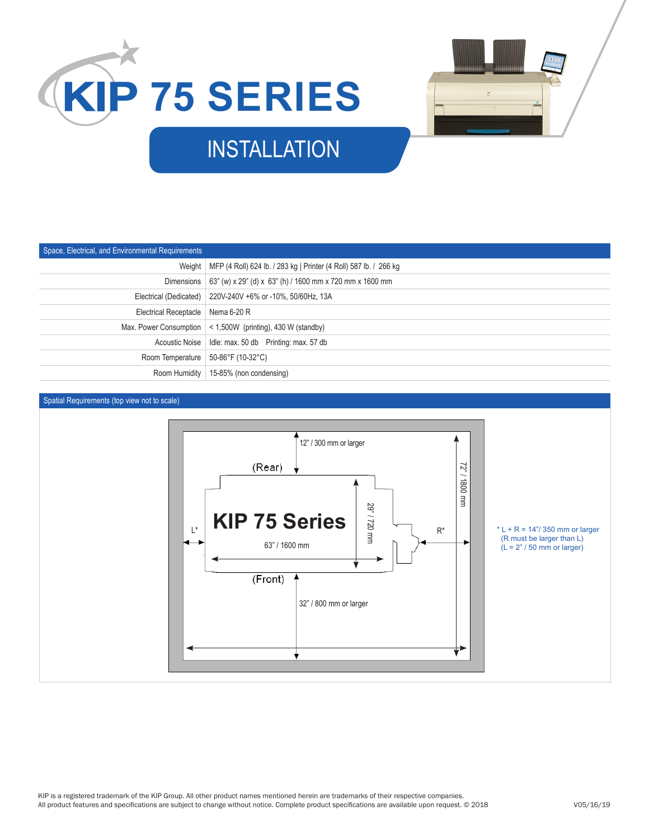



# INSTALLATION

| Space, Electrical, and Environmental Requirements |                                                                            |
|---------------------------------------------------|----------------------------------------------------------------------------|
|                                                   | Weight   MFP (4 Roll) 624 lb. / 283 kg   Printer (4 Roll) 587 lb. / 266 kg |
|                                                   | Dimensions   63" (w) x 29" (d) x 63" (h) / 1600 mm x 720 mm x 1600 mm      |
|                                                   | Electrical (Dedicated)   220V-240V +6% or -10%, 50/60Hz, 13A               |
| Electrical Receptacle   Nema 6-20 R               |                                                                            |
|                                                   | Max. Power Consumption $ $ < 1,500W (printing), 430 W (standby)            |
|                                                   |                                                                            |
| Room Temperature   50-86°F (10-32°C)              |                                                                            |
|                                                   | Room Humidity   15-85% (non condensing)                                    |

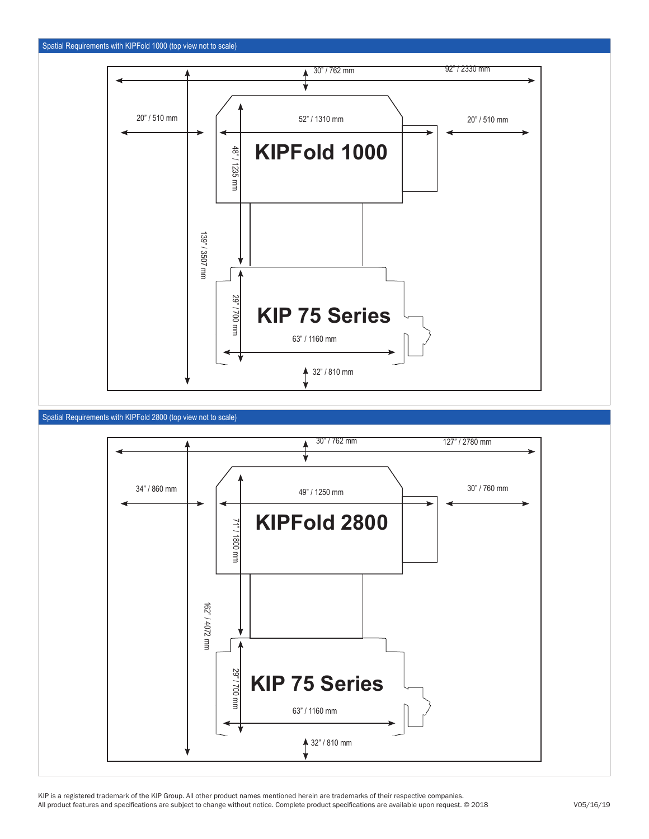

### Spatial Requirements with KIPFold 2800 (top view not to scale)



KIP is a registered trademark of the KIP Group. All other product names mentioned herein are trademarks of their respective companies. All product features and specifications are subject to change without notice. Complete product specifications are available upon request. © 2018